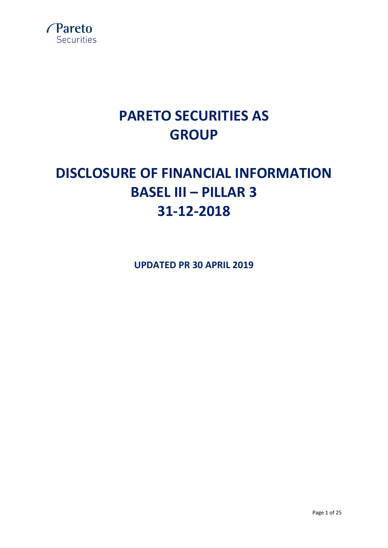

# **PARETO SECURITIES AS GROUP**

# **DISCLOSURE OF FINANCIAL INFORMATION BASEL III – PILLAR 3 31-12-2018**

**UPDATED PR 30 APRIL 2019**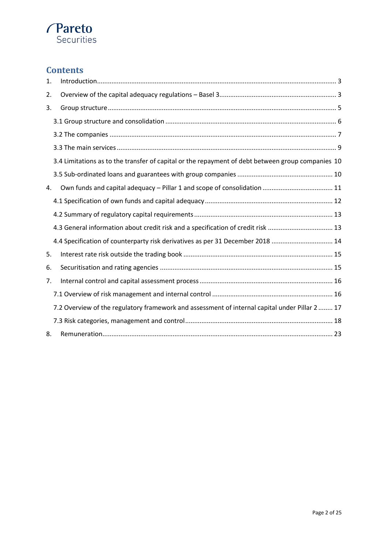# **Pareto**<br>Securities

# **Contents**

| 1. |                                                                                                   |
|----|---------------------------------------------------------------------------------------------------|
| 2. |                                                                                                   |
| 3. |                                                                                                   |
|    |                                                                                                   |
|    |                                                                                                   |
|    |                                                                                                   |
|    | 3.4 Limitations as to the transfer of capital or the repayment of debt between group companies 10 |
|    |                                                                                                   |
| 4. |                                                                                                   |
|    |                                                                                                   |
|    |                                                                                                   |
|    | 4.3 General information about credit risk and a specification of credit risk  13                  |
|    | 4.4 Specification of counterparty risk derivatives as per 31 December 2018  14                    |
| 5. |                                                                                                   |
| 6. |                                                                                                   |
| 7. |                                                                                                   |
|    |                                                                                                   |
|    | 7.2 Overview of the regulatory framework and assessment of internal capital under Pillar 2  17    |
|    |                                                                                                   |
| 8. |                                                                                                   |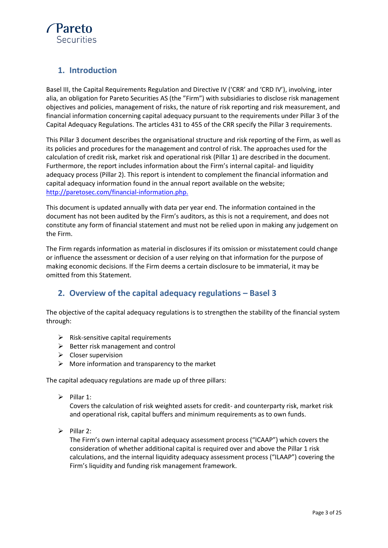

# <span id="page-2-0"></span>**1. Introduction**

Basel III, the Capital Requirements Regulation and Directive IV ('CRR' and 'CRD IV'), involving, inter alia, an obligation for Pareto Securities AS (the "Firm") with subsidiaries to disclose risk management objectives and policies, management of risks, the nature of risk reporting and risk measurement, and financial information concerning capital adequacy pursuant to the requirements under Pillar 3 of the Capital Adequacy Regulations. The articles 431 to 455 of the CRR specify the Pillar 3 requirements.

This Pillar 3 document describes the organisational structure and risk reporting of the Firm, as well as its policies and procedures for the management and control of risk. The approaches used for the calculation of credit risk, market risk and operational risk (Pillar 1) are described in the document. Furthermore, the report includes information about the Firm's internal capital- and liquidity adequacy process (Pillar 2). This report is intendent to complement the financial information and capital adequacy information found in the annual report available on the website; [http://paretosec.com/financial-information.php.](http://paretosec.com/financial-information.php)

This document is updated annually with data per year end. The information contained in the document has not been audited by the Firm's auditors, as this is not a requirement, and does not constitute any form of financial statement and must not be relied upon in making any judgement on the Firm.

The Firm regards information as material in disclosures if its omission or misstatement could change or influence the assessment or decision of a user relying on that information for the purpose of making economic decisions. If the Firm deems a certain disclosure to be immaterial, it may be omitted from this Statement.

# <span id="page-2-1"></span>**2. Overview of the capital adequacy regulations – Basel 3**

The objective of the capital adequacy regulations is to strengthen the stability of the financial system through:

- $\triangleright$  Risk-sensitive capital requirements
- $\triangleright$  Better risk management and control
- $\triangleright$  Closer supervision
- $\triangleright$  More information and transparency to the market

The capital adequacy regulations are made up of three pillars:

 $\triangleright$  Pillar 1:

Covers the calculation of risk weighted assets for credit- and counterparty risk, market risk and operational risk, capital buffers and minimum requirements as to own funds.

 $\triangleright$  Pillar 2:

The Firm's own internal capital adequacy assessment process ("ICAAP") which covers the consideration of whether additional capital is required over and above the Pillar 1 risk calculations, and the internal liquidity adequacy assessment process ("ILAAP") covering the Firm's liquidity and funding risk management framework.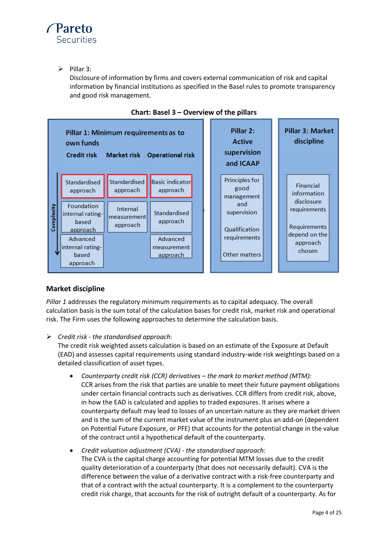

 $\triangleright$  Pillar 3:

Disclosure of information by firms and covers external communication of risk and capital information by financial institutions as specified in the Basel rules to promote transparency and good risk management.



# **Chart: Basel 3 – Overview of the pillars**

# **Market discipline**

*Pillar 1* addresses the regulatory minimum requirements as to capital adequacy. The overall calculation basis is the sum total of the calculation bases for credit risk, market risk and operational risk. The Firm uses the following approaches to determine the calculation basis.

*Credit risk - the standardised approach*:

The credit risk weighted assets calculation is based on an estimate of the Exposure at Default (EAD) and assesses capital requirements using standard industry-wide risk weightings based on a detailed classification of asset types.

- *Counterparty credit risk (CCR) derivatives – the mark to market method (MTM):* CCR arises from the risk that parties are unable to meet their future payment obligations under certain financial contracts such as derivatives. CCR differs from credit risk, above, in how the EAD is calculated and applies to traded exposures. It arises where a counterparty default may lead to losses of an uncertain nature as they are market driven and is the sum of the current market value of the instrument plus an add-on (dependent on Potential Future Exposure, or PFE) that accounts for the potential change in the value of the contract until a hypothetical default of the counterparty.
- *Credit valuation adjustment (CVA) - the standardised approach:* The CVA is the capital charge accounting for potential MTM losses due to the credit quality deterioration of a counterparty (that does not necessarily default). CVA is the difference between the value of a derivative contract with a risk-free counterparty and that of a contract with the actual counterparty. It is a complement to the counterparty credit risk charge, that accounts for the risk of outright default of a counterparty. As for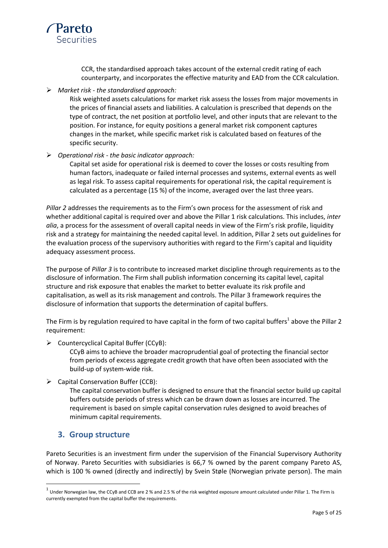

CCR, the standardised approach takes account of the external credit rating of each counterparty, and incorporates the effective maturity and EAD from the CCR calculation.

*Market risk - the standardised approach:*

Risk weighted assets calculations for market risk assess the losses from major movements in the prices of financial assets and liabilities. A calculation is prescribed that depends on the type of contract, the net position at portfolio level, and other inputs that are relevant to the position. For instance, for equity positions a general market risk component captures changes in the market, while specific market risk is calculated based on features of the specific security.

*Operational risk - the basic indicator approach:*

Capital set aside for operational risk is deemed to cover the losses or costs resulting from human factors, inadequate or failed internal processes and systems, external events as well as legal risk. To assess capital requirements for operational risk, the capital requirement is calculated as a percentage (15 %) of the income, averaged over the last three years.

*Pillar 2* addresses the requirements as to the Firm's own process for the assessment of risk and whether additional capital is required over and above the Pillar 1 risk calculations. This includes, *inter alia*, a process for the assessment of overall capital needs in view of the Firm's risk profile, liquidity risk and a strategy for maintaining the needed capital level. In addition, Pillar 2 sets out guidelines for the evaluation process of the supervisory authorities with regard to the Firm's capital and liquidity adequacy assessment process.

The purpose of *Pillar 3* is to contribute to increased market discipline through requirements as to the disclosure of information. The Firm shall publish information concerning its capital level, capital structure and risk exposure that enables the market to better evaluate its risk profile and capitalisation, as well as its risk management and controls. The Pillar 3 framework requires the disclosure of information that supports the determination of capital buffers.

The Firm is by regulation required to have capital in the form of two capital buffers<sup>1</sup> above the Pillar 2 requirement:

 $\triangleright$  Countercyclical Capital Buffer (CCyB):

CCyB aims to achieve the broader macroprudential goal of protecting the financial sector from periods of excess aggregate credit growth that have often been associated with the build-up of system-wide risk.

 $\triangleright$  Capital Conservation Buffer (CCB):

The capital conservation buffer is designed to ensure that the financial sector build up capital buffers outside periods of stress which can be drawn down as losses are incurred. The requirement is based on simple capital conservation rules designed to avoid breaches of minimum capital requirements.

# <span id="page-4-0"></span>**3. Group structure**

 $\overline{\phantom{a}}$ 

Pareto Securities is an investment firm under the supervision of the Financial Supervisory Authority of Norway. Pareto Securities with subsidiaries is 66,7 % owned by the parent company Pareto AS, which is 100 % owned (directly and indirectly) by Svein Støle (Norwegian private person). The main

 $^1$  Under Norwegian law, the CCyB and CCB are 2 % and 2.5 % of the risk weighted exposure amount calculated under Pillar 1. The Firm is currently exempted from the capital buffer the requirements.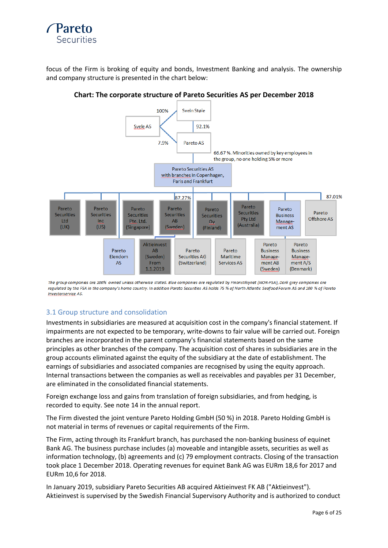

focus of the Firm is broking of equity and bonds, Investment Banking and analysis. The ownership and company structure is presented in the chart below:



#### **Chart: The corporate structure of Pareto Securities AS per December 2018**

The group companies are 100% owned unless otherwise stated. Blue companies are regulated by Finanstilsynet (NOR-FSA), Dark grey companies are regulated by the FSA in the company's home country. In addition Pareto Securities AS holds 75 % of North Atlantic Seafood Forum AS and 100 % of Pareto **Investorservice AS.** 

#### <span id="page-5-0"></span>3.1 Group structure and consolidation

Investments in subsidiaries are measured at acquisition cost in the company's financial statement. If impairments are not expected to be temporary, write-downs to fair value will be carried out. Foreign branches are incorporated in the parent company's financial statements based on the same principles as other branches of the company. The acquisition cost of shares in subsidiaries are in the group accounts eliminated against the equity of the subsidiary at the date of establishment. The earnings of subsidiaries and associated companies are recognised by using the equity approach. Internal transactions between the companies as well as receivables and payables per 31 December, are eliminated in the consolidated financial statements.

Foreign exchange loss and gains from translation of foreign subsidiaries, and from hedging, is recorded to equity. See note 14 in the annual report.

The Firm divested the joint venture Pareto Holding GmbH (50 %) in 2018. Pareto Holding GmbH is not material in terms of revenues or capital requirements of the Firm.

The Firm, acting through its Frankfurt branch, has purchased the non-banking business of equinet Bank AG. The business purchase includes (a) moveable and intangible assets, securities as well as information technology, (b) agreements and (c) 79 employment contracts. Closing of the transaction took place 1 December 2018. Operating revenues for equinet Bank AG was EURm 18,6 for 2017 and EURm 10,6 for 2018.

In January 2019, subsidiary Pareto Securities AB acquired Aktieinvest FK AB ("Aktieinvest"). Aktieinvest is supervised by the Swedish Financial Supervisory Authority and is authorized to conduct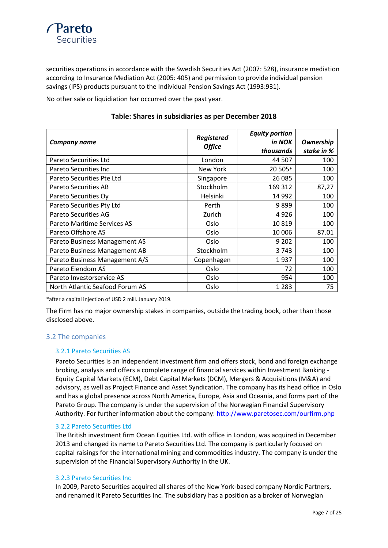

securities operations in accordance with the Swedish Securities Act (2007: 528), insurance mediation according to Insurance Mediation Act (2005: 405) and permission to provide individual pension savings (IPS) products pursuant to the Individual Pension Savings Act (1993:931).

No other sale or liquidiation har occurred over the past year.

#### **Table: Shares in subsidiaries as per December 2018**

| <b>Company name</b>             | Registered<br><b>Office</b> | <b>Equity portion</b><br>in NOK<br>thousands | Ownership<br>stake in % |
|---------------------------------|-----------------------------|----------------------------------------------|-------------------------|
| Pareto Securities Ltd           | London                      | 44 507                                       | 100                     |
| Pareto Securities Inc           | New York                    | 20 505*                                      | 100                     |
| Pareto Securities Pte Ltd       | Singapore                   | 26 085                                       | 100                     |
| Pareto Securities AB            | Stockholm                   | 169 312                                      | 87,27                   |
| Pareto Securities Oy            | Helsinki                    | 14 9 92                                      | 100                     |
| Pareto Securities Pty Ltd       | Perth                       | 9899                                         | 100                     |
| <b>Pareto Securities AG</b>     | Zurich                      | 4926                                         | 100                     |
| Pareto Maritime Services AS     | Oslo                        | 10819                                        | 100                     |
| Pareto Offshore AS              | Oslo                        | 10 006                                       | 87.01                   |
| Pareto Business Management AS   | Oslo                        | 9 2 0 2                                      | 100                     |
| Pareto Business Management AB   | Stockholm                   | 3743                                         | 100                     |
| Pareto Business Management A/S  | Copenhagen                  | 1937                                         | 100                     |
| Pareto Eiendom AS               | Oslo                        | 72                                           | 100                     |
| Pareto Investorservice AS       | Oslo                        | 954                                          | 100                     |
| North Atlantic Seafood Forum AS | Oslo                        | 1 2 8 3                                      | 75                      |

\*after a capital injection of USD 2 mill. January 2019.

The Firm has no major ownership stakes in companies, outside the trading book, other than those disclosed above.

#### <span id="page-6-0"></span>3.2 The companies

#### 3.2.1 Pareto Securities AS

Pareto Securities is an independent investment firm and offers stock, bond and foreign exchange broking, analysis and offers a complete range of financial services within Investment Banking - Equity Capital Markets (ECM), Debt Capital Markets (DCM), Mergers & Acquisitions (M&A) and advisory, as well as Project Finance and Asset Syndication. The company has its head office in Oslo and has a global presence across North America, Europe, Asia and Oceania, and forms part of the Pareto Group. The company is under the supervision of the Norwegian Financial Supervisory Authority. For further information about the company:<http://www.paretosec.com/ourfirm.php>

#### 3.2.2 Pareto Securities Ltd

The British investment firm Ocean Equities Ltd. with office in London, was acquired in December 2013 and changed its name to Pareto Securities Ltd. The company is particularly focused on capital raisings for the international mining and commodities industry. The company is under the supervision of the Financial Supervisory Authority in the UK.

#### 3.2.3 Pareto Securities Inc

In 2009, Pareto Securities acquired all shares of the New York-based company Nordic Partners, and renamed it Pareto Securities Inc. The subsidiary has a position as a broker of Norwegian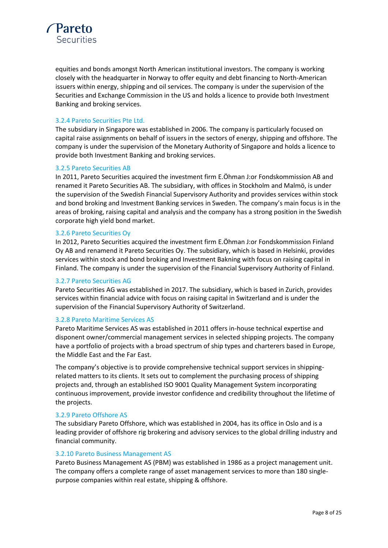

equities and bonds amongst North American institutional investors. The company is working closely with the headquarter in Norway to offer equity and debt financing to North-American issuers within energy, shipping and oil services. The company is under the supervision of the Securities and Exchange Commission in the US and holds a licence to provide both Investment Banking and broking services.

#### 3.2.4 Pareto Securities Pte Ltd.

The subsidiary in Singapore was established in 2006. The company is particularly focused on capital raise assignments on behalf of issuers in the sectors of energy, shipping and offshore. The company is under the supervision of the Monetary Authority of Singapore and holds a licence to provide both Investment Banking and broking services.

#### 3.2.5 Pareto Securities AB

In 2011, Pareto Securities acquired the investment firm E.Öhman J:or Fondskommission AB and renamed it Pareto Securities AB. The subsidiary, with offices in Stockholm and Malmö, is under the supervision of the Swedish Financial Supervisory Authority and provides services within stock and bond broking and Investment Banking services in Sweden. The company's main focus is in the areas of broking, raising capital and analysis and the company has a strong position in the Swedish corporate high yield bond market.

#### 3.2.6 Pareto Securities Oy

In 2012, Pareto Securities acquired the investment firm E.Öhman J:or Fondskommission Finland Oy AB and renamend it Pareto Securities Oy. The subsidiary, which is based in Helsinki, provides services within stock and bond broking and Investment Bakning with focus on raising capital in Finland. The company is under the supervision of the Financial Supervisory Authority of Finland.

#### 3.2.7 Pareto Securities AG

Pareto Securities AG was established in 2017. The subsidiary, which is based in Zurich, provides services within financial advice with focus on raising capital in Switzerland and is under the supervision of the Financial Supervisory Authority of Switzerland.

#### 3.2.8 Pareto Maritime Services AS

Pareto Maritime Services AS was established in 2011 offers in-house technical expertise and disponent owner/commercial management services in selected shipping projects. The company have a portfolio of projects with a broad spectrum of ship types and charterers based in Europe, the Middle East and the Far East.

The company's objective is to provide comprehensive technical support services in shippingrelated matters to its clients. It sets out to complement the purchasing process of shipping projects and, through an established ISO 9001 Quality Management System incorporating continuous improvement, provide investor confidence and credibility throughout the lifetime of the projects.

#### 3.2.9 Pareto Offshore AS

The subsidiary Pareto Offshore, which was established in 2004, has its office in Oslo and is a leading provider of offshore rig brokering and advisory services to the global drilling industry and financial community.

#### 3.2.10 Pareto Business Management AS

Pareto Business Management AS (PBM) was established in 1986 as a project management unit. The company offers a complete range of asset management services to more than 180 singlepurpose companies within real estate, shipping & offshore.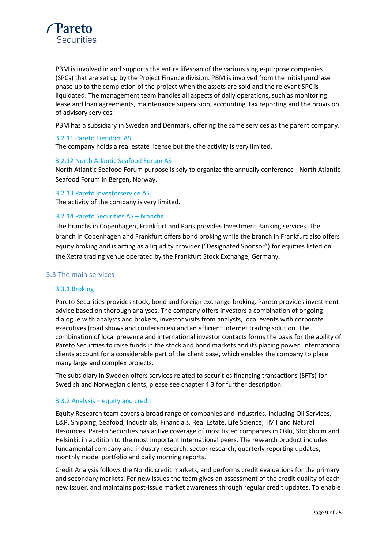

PBM is involved in and supports the entire lifespan of the various single-purpose companies (SPCs) that are set up by the Project Finance division. PBM is involved from the initial purchase phase up to the completion of the project when the assets are sold and the relevant SPC is liquidated. The management team handles all aspects of daily operations, such as monitoring lease and loan agreements, maintenance supervision, accounting, tax reporting and the provision of advisory services.

PBM has a subsidiary in Sweden and Denmark, offering the same services as the parent company.

#### 3.2.11 Pareto Eiendom AS

The company holds a real estate license but the the activity is very limited.

#### 3.2.12 North Atlantic Seafood Forum AS

North Atlantic Seafood Forum purpose is soly to organize the annually conference - North Atlantic Seafood Forum in Bergen, Norway.

3.2.13 Pareto Investorservice AS The activity of the company is very limited.

#### 3.2.14 Pareto Securities AS – branchs

The branchs in Copenhagen, Frankfurt and Paris provides Investment Banking services. The branch in Copenhagen and Frankfurt offers bond broking while the branch in Frankfurt also offers equity broking and is acting as a liquidity provider ("Designated Sponsor") for equities listed on the Xetra trading venue operated by the Frankfurt Stock Exchange, Germany.

#### <span id="page-8-0"></span>3.3 The main services

#### 3.3.1 Broking

Pareto Securities provides stock, bond and foreign exchange broking. Pareto provides investment advice based on thorough analyses. The company offers investors a combination of ongoing dialogue with analysts and brokers, investor visits from analysts, local events with corporate executives (road shows and conferences) and an efficient Internet trading solution. The combination of local presence and international investor contacts forms the basis for the ability of Pareto Securities to raise funds in the stock and bond markets and its placing power. International clients account for a considerable part of the client base, which enables the company to place many large and complex projects.

The subsidiary in Sweden offers services related to securities financing transactions (SFTs) for Swedish and Norwegian clients, please see chapter 4.3 for further description.

#### 3.3.2 Analysis – equity and credit

Equity Research team covers a broad range of companies and industries, including Oil Services, E&P, Shipping, Seafood, Industrials, Financials, Real Estate, Life Science, TMT and Natural Resources. Pareto Securities has active coverage of most listed companies in Oslo, Stockholm and Helsinki, in addition to the most important international peers. The research product includes fundamental company and industry research, sector research, quarterly reporting updates, monthly model portfolio and daily morning reports.

Credit Analysis follows the Nordic credit markets, and performs credit evaluations for the primary and secondary markets. For new issues the team gives an assessment of the credit quality of each new issuer, and maintains post-issue market awareness through regular credit updates. To enable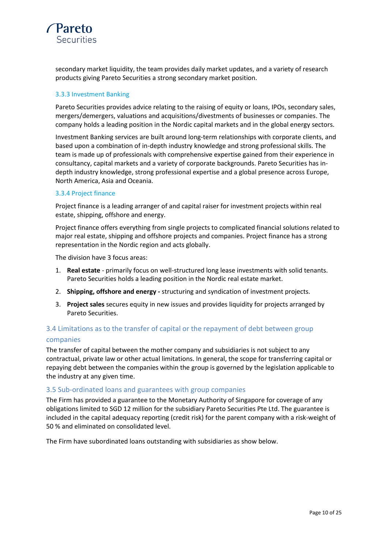

secondary market liquidity, the team provides daily market updates, and a variety of research products giving Pareto Securities a strong secondary market position.

#### 3.3.3 Investment Banking

Pareto Securities provides advice relating to the raising of equity or loans, IPOs, secondary sales, mergers/demergers, valuations and acquisitions/divestments of businesses or companies. The company holds a leading position in the Nordic capital markets and in the global energy sectors.

Investment Banking services are built around long-term relationships with corporate clients, and based upon a combination of in-depth industry knowledge and strong professional skills. The team is made up of professionals with comprehensive expertise gained from their experience in consultancy, capital markets and a variety of corporate backgrounds. Pareto Securities has indepth industry knowledge, strong professional expertise and a global presence across Europe, North America, Asia and Oceania.

#### 3.3.4 Project finance

Project finance is a leading arranger of and capital raiser for investment projects within real estate, shipping, offshore and energy.

Project finance offers everything from single projects to complicated financial solutions related to major real estate, shipping and offshore projects and companies. Project finance has a strong representation in the Nordic region and acts globally.

The division have 3 focus areas:

- 1. **Real estate** primarily focus on well-structured long lease investments with solid tenants. Pareto Securities holds a leading position in the Nordic real estate market.
- 2. **Shipping, offshore and energy -** structuring and syndication of investment projects.
- 3. **Project sales** secures equity in new issues and provides liquidity for projects arranged by Pareto Securities.

# <span id="page-9-0"></span>3.4 Limitations as to the transfer of capital or the repayment of debt between group companies

The transfer of capital between the mother company and subsidiaries is not subject to any contractual, private law or other actual limitations. In general, the scope for transferring capital or repaying debt between the companies within the group is governed by the legislation applicable to the industry at any given time.

#### <span id="page-9-1"></span>3.5 Sub-ordinated loans and guarantees with group companies

The Firm has provided a guarantee to the Monetary Authority of Singapore for coverage of any obligations limited to SGD 12 million for the subsidiary Pareto Securities Pte Ltd. The guarantee is included in the capital adequacy reporting (credit risk) for the parent company with a risk-weight of 50 % and eliminated on consolidated level.

The Firm have subordinated loans outstanding with subsidiaries as show below.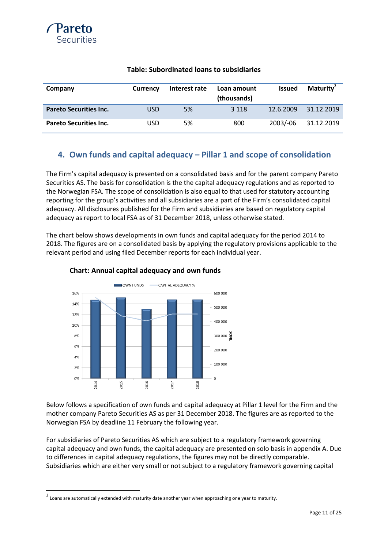

| Company                       | <b>Currency</b> | Interest rate | Loan amount<br>(thousands) | <b>Issued</b> | Maturity <sup>2</sup> |
|-------------------------------|-----------------|---------------|----------------------------|---------------|-----------------------|
| <b>Pareto Securities Inc.</b> | <b>USD</b>      | 5%            | 3 1 1 8                    | 12.6.2009     | 31.12.2019            |
| <b>Pareto Securities Inc.</b> | USD             | 5%            | 800                        | $2003/-06$    | 31.12.2019            |

#### **Table: Subordinated loans to subsidiaries**

# <span id="page-10-0"></span>**4. Own funds and capital adequacy – Pillar 1 and scope of consolidation**

The Firm's capital adequacy is presented on a consolidated basis and for the parent company Pareto Securities AS. The basis for consolidation is the the capital adequacy regulations and as reported to the Norwegian FSA. The scope of consolidation is also equal to that used for statutory accounting reporting for the group's activities and all subsidiaries are a part of the Firm's consolidated capital adequacy. All disclosures published for the Firm and subsidiaries are based on regulatory capital adequacy as report to local FSA as of 31 December 2018, unless otherwise stated.

The chart below shows developments in own funds and capital adequacy for the period 2014 to 2018. The figures are on a consolidated basis by applying the regulatory provisions applicable to the relevant period and using filed December reports for each individual year.



#### **Chart: Annual capital adequacy and own funds**

Below follows a specification of own funds and capital adequacy at Pillar 1 level for the Firm and the mother company Pareto Securities AS as per 31 December 2018. The figures are as reported to the Norwegian FSA by deadline 11 February the following year.

For subsidiaries of Pareto Securities AS which are subject to a regulatory framework governing capital adequacy and own funds, the capital adequacy are presented on solo basis in appendix A. Due to differences in capital adequacy regulations, the figures may not be directly comparable. Subsidiaries which are either very small or not subject to a regulatory framework governing capital

 2 Loans are automatically extended with maturity date another year when approaching one year to maturity.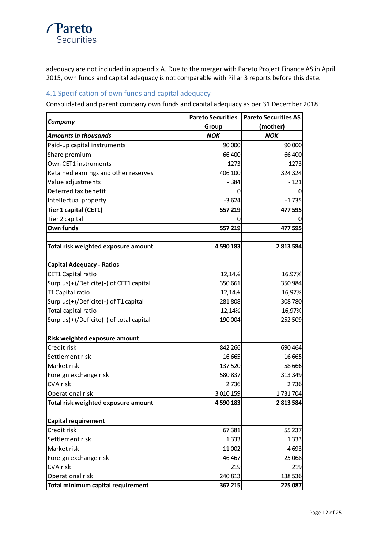# *<u>Pareto</u>* **Securities**

adequacy are not included in appendix A. Due to the merger with Pareto Project Finance AS in April 2015, own funds and capital adequacy is not comparable with Pillar 3 reports before this date.

#### <span id="page-11-0"></span>4.1 Specification of own funds and capital adequacy

Consolidated and parent company own funds and capital adequacy as per 31 December 2018:

|                                         | <b>Pareto Securities</b> | <b>Pareto Securities AS</b> |  |
|-----------------------------------------|--------------------------|-----------------------------|--|
| Company                                 | Group                    | (mother)                    |  |
| <b>Amounts in thousands</b>             | <b>NOK</b>               | <b>NOK</b>                  |  |
| Paid-up capital instruments             | 90 000                   | 90 000                      |  |
| Share premium                           | 66 400                   | 66 400                      |  |
| Own CET1 instruments                    | $-1273$                  | $-1273$                     |  |
| Retained earnings and other reserves    | 406 100                  | 324 324                     |  |
| Value adjustments                       | $-384$                   | $-121$                      |  |
| Deferred tax benefit                    | 0                        |                             |  |
| Intellectual property                   | $-3624$                  | $-1735$                     |  |
| Tier 1 capital (CET1)                   | 557 219                  | 477 595                     |  |
| Tier 2 capital                          | O)                       |                             |  |
| Own funds                               | 557 219                  | 477 595                     |  |
|                                         |                          |                             |  |
| Total risk weighted exposure amount     | 4 590 183                | 2813584                     |  |
|                                         |                          |                             |  |
| <b>Capital Adequacy - Ratios</b>        |                          |                             |  |
| CET1 Capital ratio                      | 12,14%                   | 16,97%                      |  |
| Surplus(+)/Deficite(-) of CET1 capital  | 350 661                  | 350 984                     |  |
| T1 Capital ratio                        | 12,14%                   | 16,97%                      |  |
| Surplus(+)/Deficite(-) of T1 capital    | 281808                   | 308 780                     |  |
| Total capital ratio                     | 12,14%                   | 16,97%                      |  |
| Surplus(+)/Deficite(-) of total capital | 190 004                  | 252 509                     |  |
| Risk weighted exposure amount           |                          |                             |  |
| Credit risk                             | 842 266                  | 690 464                     |  |
| Settlement risk                         | 16 6 65                  | 16 6 65                     |  |
| Market risk                             | 137520                   | 58 666                      |  |
| Foreign exchange risk                   | 580837                   | 313 349                     |  |
| <b>CVA risk</b>                         | 2736                     | 2736                        |  |
| Operational risk                        | 3 010 159                | 1731704                     |  |
| Total risk weighted exposure amount     | 4590183                  | 2813584                     |  |
|                                         |                          |                             |  |
| <b>Capital requirement</b>              |                          |                             |  |
| Credit risk                             | 67381                    | 55 237                      |  |
| Settlement risk                         | 1333                     | 1333                        |  |
| Market risk                             | 11 002                   | 4693                        |  |
| Foreign exchange risk                   | 46 4 67                  | 25 068                      |  |
| <b>CVA risk</b>                         | 219                      | 219                         |  |
| Operational risk                        | 240 813                  | 138 536                     |  |
| Total minimum capital requirement       | 367 215                  | 225 087                     |  |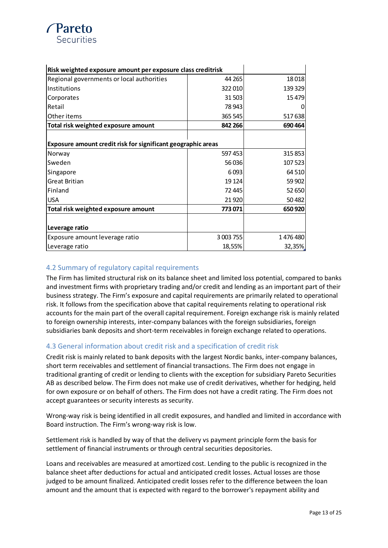

| Risk weighted exposure amount per exposure class creditrisk  |           |         |
|--------------------------------------------------------------|-----------|---------|
| Regional governments or local authorities                    | 44 265    | 18018   |
| Institutions                                                 | 322010    | 139 329 |
| Corporates                                                   | 31 503    | 15479   |
| Retail                                                       | 78 943    |         |
| Other items                                                  | 365 545   | 517638  |
| Total risk weighted exposure amount                          | 842 266   | 690 464 |
|                                                              |           |         |
| Exposure amount credit risk for significant geographic areas |           |         |
| Norway                                                       | 597 453   | 315 853 |
| Sweden                                                       | 56 036    | 107 523 |
| Singapore                                                    | 6093      | 64 510  |
| <b>Great Britian</b>                                         | 19 1 24   | 59 902  |
| Finland                                                      | 72 445    | 52 650  |
| <b>USA</b>                                                   | 21 9 20   | 50482   |
| Total risk weighted exposure amount                          | 773071    | 650 920 |
|                                                              |           |         |
| Leverage ratio                                               |           |         |
| Exposure amount leverage ratio                               | 3 003 755 | 1476480 |
| Leverage ratio                                               | 18,55%    | 32,35%  |

#### <span id="page-12-0"></span>4.2 Summary of regulatory capital requirements

The Firm has limited structural risk on its balance sheet and limited loss potential, compared to banks and investment firms with proprietary trading and/or credit and lending as an important part of their business strategy. The Firm's exposure and capital requirements are primarily related to operational risk. It follows from the specification above that capital requirements relating to operational risk accounts for the main part of the overall capital requirement. Foreign exchange risk is mainly related to foreign ownership interests, inter-company balances with the foreign subsidiaries, foreign subsidiaries bank deposits and short-term receivables in foreign exchange related to operations.

#### <span id="page-12-1"></span>4.3 General information about credit risk and a specification of credit risk

Credit risk is mainly related to bank deposits with the largest Nordic banks, inter-company balances, short term receivables and settlement of financial transactions. The Firm does not engage in traditional granting of credit or lending to clients with the exception for subsidiary Pareto Securities AB as described below. The Firm does not make use of credit derivatives, whether for hedging, held for own exposure or on behalf of others. The Firm does not have a credit rating. The Firm does not accept guarantees or security interests as security.

Wrong-way risk is being identified in all credit exposures, and handled and limited in accordance with Board instruction. The Firm's wrong-way risk is low.

Settlement risk is handled by way of that the delivery vs payment principle form the basis for settlement of financial instruments or through central securities depositories.

Loans and receivables are measured at amortized cost. Lending to the public is recognized in the balance sheet after deductions for actual and anticipated credit losses. Actual losses are those judged to be amount finalized. Anticipated credit losses refer to the difference between the loan amount and the amount that is expected with regard to the borrower's repayment ability and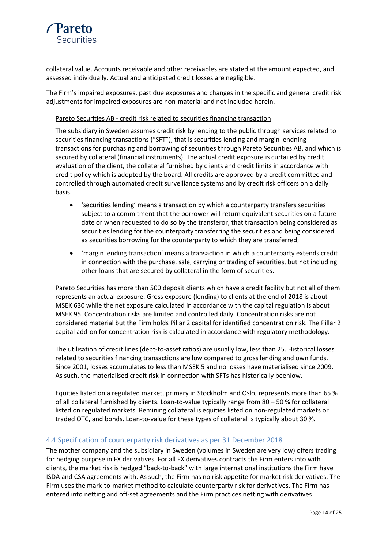

collateral value. Accounts receivable and other receivables are stated at the amount expected, and assessed individually. Actual and anticipated credit losses are negligible.

The Firm's impaired exposures, past due exposures and changes in the specific and general credit risk adjustments for impaired exposures are non-material and not included herein.

Pareto Securities AB - credit risk related to securities financing transaction

The subsidiary in Sweden assumes credit risk by lending to the public through services related to securities financing transactions ("SFT"), that is securities lending and margin lendning transactions for purchasing and borrowing of securities through Pareto Securities AB, and which is secured by collateral (financial instruments). The actual credit exposure is curtailed by credit evaluation of the client, the collateral furnished by clients and credit limits in accordance with credit policy which is adopted by the board. All credits are approved by a credit committee and controlled through automated credit surveillance systems and by credit risk officers on a daily basis.

- 'securities lending' means a transaction by which a counterparty transfers securities subject to a commitment that the borrower will return equivalent securities on a future date or when requested to do so by the transferor, that transaction being considered as securities lending for the counterparty transferring the securities and being considered as securities borrowing for the counterparty to which they are transferred;
- 'margin lending transaction' means a transaction in which a counterparty extends credit in connection with the purchase, sale, carrying or trading of securities, but not including other loans that are secured by collateral in the form of securities.

Pareto Securities has more than 500 deposit clients which have a credit facility but not all of them represents an actual exposure. Gross exposure (lending) to clients at the end of 2018 is about MSEK 630 while the net exposure calculated in accordance with the capital regulation is about MSEK 95. Concentration risks are limited and controlled daily. Concentration risks are not considered material but the Firm holds Pillar 2 capital for identified concentration risk. The Pillar 2 capital add-on for concentration risk is calculated in accordance with regulatory methodology.

The utilisation of credit lines (debt-to-asset ratios) are usually low, less than 25. Historical losses related to securities financing transactions are low compared to gross lending and own funds. Since 2001, losses accumulates to less than MSEK 5 and no losses have materialised since 2009. As such, the materialised credit risk in connection with SFTs has historically beenlow.

Equities listed on a regulated market, primary in Stockholm and Oslo, represents more than 65 % of all collateral furnished by clients. Loan-to-value typically range from 80 – 50 % for collateral listed on regulated markets. Remining collateral is equities listed on non-regulated markets or traded OTC, and bonds. Loan-to-value for these types of collateral is typically about 30 %.

#### <span id="page-13-0"></span>4.4 Specification of counterparty risk derivatives as per 31 December 2018

The mother company and the subsidiary in Sweden (volumes in Sweden are very low) offers trading for hedging purpose in FX derivatives. For all FX derivatives contracts the Firm enters into with clients, the market risk is hedged "back-to-back" with large international institutions the Firm have ISDA and CSA agreements with. As such, the Firm has no risk appetite for market risk derivatives. The Firm uses the mark-to-market method to calculate counterparty risk for derivatives. The Firm has entered into netting and off-set agreements and the Firm practices netting with derivatives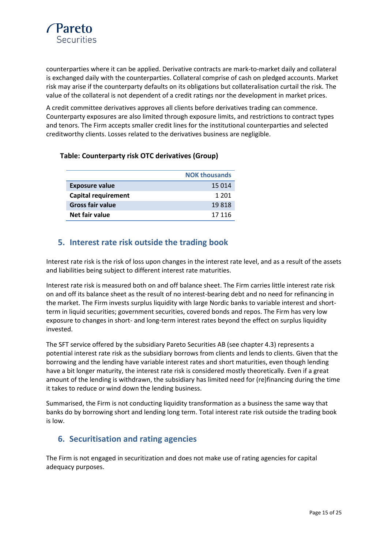

counterparties where it can be applied. Derivative contracts are mark-to-market daily and collateral is exchanged daily with the counterparties. Collateral comprise of cash on pledged accounts. Market risk may arise if the counterparty defaults on its obligations but collateralisation curtail the risk. The value of the collateral is not dependent of a credit ratings nor the development in market prices.

A credit committee derivatives approves all clients before derivatives trading can commence. Counterparty exposures are also limited through exposure limits, and restrictions to contract types and tenors. The Firm accepts smaller credit lines for the institutional counterparties and selected creditworthy clients. Losses related to the derivatives business are negligible.

|                            | <b>NOK thousands</b> |
|----------------------------|----------------------|
| <b>Exposure value</b>      | 15 014               |
| <b>Capital requirement</b> | 1 201                |
| <b>Gross fair value</b>    | 19818                |
| Net fair value             | 17 116               |

#### **Table: Counterparty risk OTC derivatives (Group)**

# <span id="page-14-0"></span>**5. Interest rate risk outside the trading book**

Interest rate risk is the risk of loss upon changes in the interest rate level, and as a result of the assets and liabilities being subject to different interest rate maturities.

Interest rate risk is measured both on and off balance sheet. The Firm carries little interest rate risk on and off its balance sheet as the result of no interest-bearing debt and no need for refinancing in the market. The Firm invests surplus liquidity with large Nordic banks to variable interest and shortterm in liquid securities; government securities, covered bonds and repos. The Firm has very low exposure to changes in short- and long-term interest rates beyond the effect on surplus liquidity invested.

The SFT service offered by the subsidiary Pareto Securities AB (see chapter 4.3) represents a potential interest rate risk as the subsidiary borrows from clients and lends to clients. Given that the borrowing and the lending have variable interest rates and short maturities, even though lending have a bit longer maturity, the interest rate risk is considered mostly theoretically. Even if a great amount of the lending is withdrawn, the subsidiary has limited need for (re)financing during the time it takes to reduce or wind down the lending business.

Summarised, the Firm is not conducting liquidity transformation as a business the same way that banks do by borrowing short and lending long term. Total interest rate risk outside the trading book is low.

# <span id="page-14-1"></span>**6. Securitisation and rating agencies**

The Firm is not engaged in securitization and does not make use of rating agencies for capital adequacy purposes.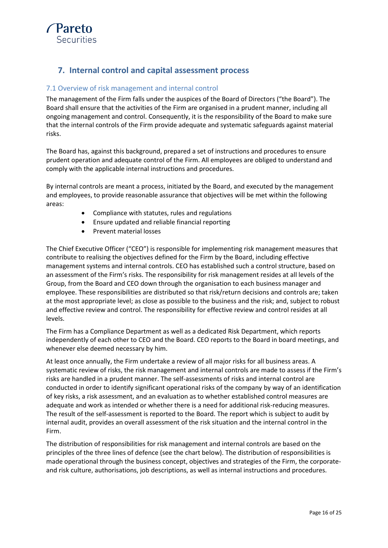

# <span id="page-15-0"></span>**7. Internal control and capital assessment process**

#### <span id="page-15-1"></span>7.1 Overview of risk management and internal control

The management of the Firm falls under the auspices of the Board of Directors ("the Board"). The Board shall ensure that the activities of the Firm are organised in a prudent manner, including all ongoing management and control. Consequently, it is the responsibility of the Board to make sure that the internal controls of the Firm provide adequate and systematic safeguards against material risks.

The Board has, against this background, prepared a set of instructions and procedures to ensure prudent operation and adequate control of the Firm. All employees are obliged to understand and comply with the applicable internal instructions and procedures.

By internal controls are meant a process, initiated by the Board, and executed by the management and employees, to provide reasonable assurance that objectives will be met within the following areas:

- Compliance with statutes, rules and regulations
- Ensure updated and reliable financial reporting
- Prevent material losses

The Chief Executive Officer ("CEO") is responsible for implementing risk management measures that contribute to realising the objectives defined for the Firm by the Board, including effective management systems and internal controls. CEO has established such a control structure, based on an assessment of the Firm's risks. The responsibility for risk management resides at all levels of the Group, from the Board and CEO down through the organisation to each business manager and employee. These responsibilities are distributed so that risk/return decisions and controls are; taken at the most appropriate level; as close as possible to the business and the risk; and, subject to robust and effective review and control. The responsibility for effective review and control resides at all levels.

The Firm has a Compliance Department as well as a dedicated Risk Department, which reports independently of each other to CEO and the Board. CEO reports to the Board in board meetings, and whenever else deemed necessary by him.

At least once annually, the Firm undertake a review of all major risks for all business areas. A systematic review of risks, the risk management and internal controls are made to assess if the Firm's risks are handled in a prudent manner. The self-assessments of risks and internal control are conducted in order to identify significant operational risks of the company by way of an identification of key risks, a risk assessment, and an evaluation as to whether established control measures are adequate and work as intended or whether there is a need for additional risk-reducing measures. The result of the self-assessment is reported to the Board. The report which is subject to audit by internal audit, provides an overall assessment of the risk situation and the internal control in the Firm.

The distribution of responsibilities for risk management and internal controls are based on the principles of the three lines of defence (see the chart below). The distribution of responsibilities is made operational through the business concept, objectives and strategies of the Firm, the corporateand risk culture, authorisations, job descriptions, as well as internal instructions and procedures.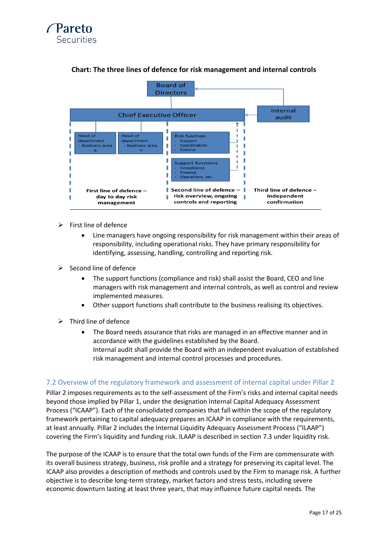



#### **Chart: The three lines of defence for risk management and internal controls**

- $\triangleright$  First line of defence
	- Line managers have ongoing responsibility for risk management within their areas of responsibility, including operational risks. They have primary responsibility for identifying, assessing, handling, controlling and reporting risk.
- $\triangleright$  Second line of defence
	- The support functions (compliance and risk) shall assist the Board, CEO and line managers with risk management and internal controls, as well as control and review implemented measures.
	- Other support functions shall contribute to the business realising its objectives.
- $\triangleright$  Third line of defence
	- The Board needs assurance that risks are managed in an effective manner and in accordance with the guidelines established by the Board. Internal audit shall provide the Board with an independent evaluation of established risk management and internal control processes and procedures.

#### <span id="page-16-0"></span>7.2 Overview of the regulatory framework and assessment of internal capital under Pillar 2

Pillar 2 imposes requirements as to the self-assessment of the Firm's risks and internal capital needs beyond those implied by Pillar 1, under the designation Internal Capital Adequacy Assessment Process ("ICAAP"). Each of the consolidated companies that fall within the scope of the regulatory framework pertaining to capital adequacy prepares an ICAAP in compliance with the requirements, at least annually. Pillar 2 includes the Internal Liquidity Adequacy Assessment Process ("ILAAP") covering the Firm's liquidity and funding risk. ILAAP is described in section 7.3 under liquidity risk.

The purpose of the ICAAP is to ensure that the total own funds of the Firm are commensurate with its overall business strategy, business, risk profile and a strategy for preserving its capital level. The ICAAP also provides a description of methods and controls used by the Firm to manage risk. A further objective is to describe long-term strategy, market factors and stress tests, including severe economic downturn lasting at least three years, that may influence future capital needs. The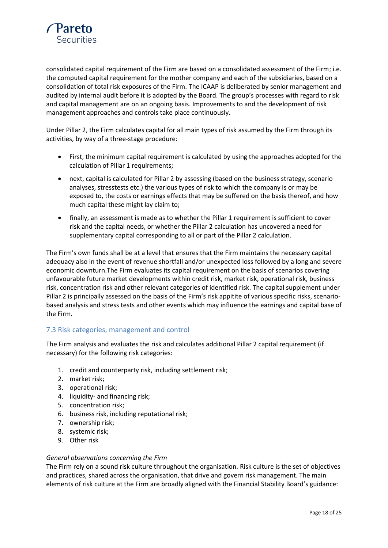

consolidated capital requirement of the Firm are based on a consolidated assessment of the Firm; i.e. the computed capital requirement for the mother company and each of the subsidiaries, based on a consolidation of total risk exposures of the Firm. The ICAAP is deliberated by senior management and audited by internal audit before it is adopted by the Board. The group's processes with regard to risk and capital management are on an ongoing basis. Improvements to and the development of risk management approaches and controls take place continuously.

Under Pillar 2, the Firm calculates capital for all main types of risk assumed by the Firm through its activities, by way of a three-stage procedure:

- First, the minimum capital requirement is calculated by using the approaches adopted for the calculation of Pillar 1 requirements;
- next, capital is calculated for Pillar 2 by assessing (based on the business strategy, scenario analyses, stresstests etc.) the various types of risk to which the company is or may be exposed to, the costs or earnings effects that may be suffered on the basis thereof, and how much capital these might lay claim to;
- finally, an assessment is made as to whether the Pillar 1 requirement is sufficient to cover risk and the capital needs, or whether the Pillar 2 calculation has uncovered a need for supplementary capital corresponding to all or part of the Pillar 2 calculation.

The Firm's own funds shall be at a level that ensures that the Firm maintains the necessary capital adequacy also in the event of revenue shortfall and/or unexpected loss followed by a long and severe economic downturn.The Firm evaluates its capital requirement on the basis of scenarios covering unfavourable future market developments within credit risk, market risk, operational risk, business risk, concentration risk and other relevant categories of identified risk. The capital supplement under Pillar 2 is principally assessed on the basis of the Firm's risk appitite of various specific risks, scenariobased analysis and stress tests and other events which may influence the earnings and capital base of the Firm.

#### <span id="page-17-0"></span>7.3 Risk categories, management and control

The Firm analysis and evaluates the risk and calculates additional Pillar 2 capital requirement (if necessary) for the following risk categories:

- 1. credit and counterparty risk, including settlement risk;
- 2. market risk;
- 3. operational risk;
- 4. liquidity- and financing risk;
- 5. concentration risk;
- 6. business risk, including reputational risk;
- 7. ownership risk;
- 8. systemic risk;
- 9. Other risk

#### *General observations concerning the Firm*

The Firm rely on a sound risk culture throughout the organisation. Risk culture is the set of objectives and practices, shared across the organisation, that drive and govern risk management. The main elements of risk culture at the Firm are broadly aligned with the Financial Stability Board's guidance: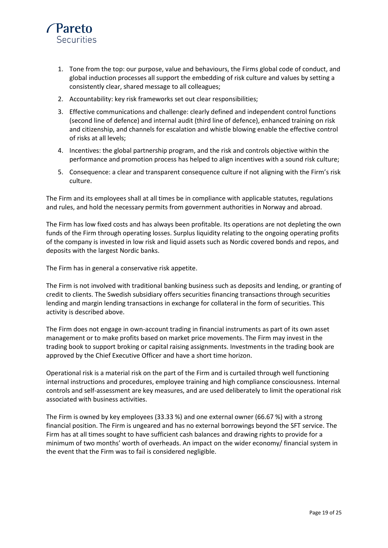

- 1. Tone from the top: our purpose, value and behaviours, the Firms global code of conduct, and global induction processes all support the embedding of risk culture and values by setting a consistently clear, shared message to all colleagues;
- 2. Accountability: key risk frameworks set out clear responsibilities;
- 3. Effective communications and challenge: clearly defined and independent control functions (second line of defence) and internal audit (third line of defence), enhanced training on risk and citizenship, and channels for escalation and whistle blowing enable the effective control of risks at all levels;
- 4. Incentives: the global partnership program, and the risk and controls objective within the performance and promotion process has helped to align incentives with a sound risk culture;
- 5. Consequence: a clear and transparent consequence culture if not aligning with the Firm's risk culture.

The Firm and its employees shall at all times be in compliance with applicable statutes, regulations and rules, and hold the necessary permits from government authorities in Norway and abroad.

The Firm has low fixed costs and has always been profitable. Its operations are not depleting the own funds of the Firm through operating losses. Surplus liquidity relating to the ongoing operating profits of the company is invested in low risk and liquid assets such as Nordic covered bonds and repos, and deposits with the largest Nordic banks.

The Firm has in general a conservative risk appetite.

The Firm is not involved with traditional banking business such as deposits and lending, or granting of credit to clients. The Swedish subsidiary offers securities financing transactions through securities lending and margin lending transactions in exchange for collateral in the form of securities. This activity is described above.

The Firm does not engage in own-account trading in financial instruments as part of its own asset management or to make profits based on market price movements. The Firm may invest in the trading book to support broking or capital raising assignments. Investments in the trading book are approved by the Chief Executive Officer and have a short time horizon.

Operational risk is a material risk on the part of the Firm and is curtailed through well functioning internal instructions and procedures, employee training and high compliance consciousness. Internal controls and self-assessment are key measures, and are used deliberately to limit the operational risk associated with business activities.

The Firm is owned by key employees (33.33 %) and one external owner (66.67 %) with a strong financial position. The Firm is ungeared and has no external borrowings beyond the SFT service. The Firm has at all times sought to have sufficient cash balances and drawing rights to provide for a minimum of two months' worth of overheads. An impact on the wider economy/ financial system in the event that the Firm was to fail is considered negligible.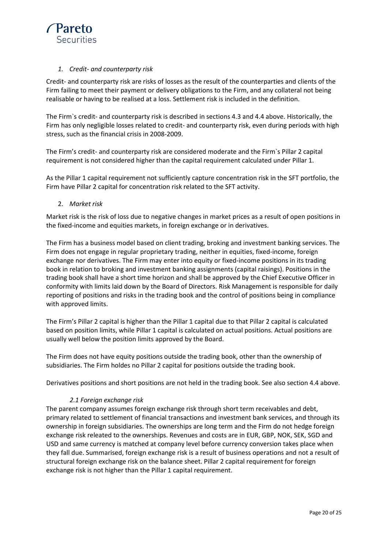

#### *1. Credit- and counterparty risk*

Credit- and counterparty risk are risks of losses as the result of the counterparties and clients of the Firm failing to meet their payment or delivery obligations to the Firm, and any collateral not being realisable or having to be realised at a loss. Settlement risk is included in the definition.

The Firm`s credit- and counterparty risk is described in sections 4.3 and 4.4 above. Historically, the Firm has only negligible losses related to credit- and counterparty risk, even during periods with high stress, such as the financial crisis in 2008-2009.

The Firm's credit- and counterparty risk are considered moderate and the Firm`s Pillar 2 capital requirement is not considered higher than the capital requirement calculated under Pillar 1.

As the Pillar 1 capital requirement not sufficiently capture concentration risk in the SFT portfolio, the Firm have Pillar 2 capital for concentration risk related to the SFT activity.

2. *Market risk*

Market risk is the risk of loss due to negative changes in market prices as a result of open positions in the fixed-income and equities markets, in foreign exchange or in derivatives.

The Firm has a business model based on client trading, broking and investment banking services. The Firm does not engage in regular proprietary trading, neither in equities, fixed-income, foreign exchange nor derivatives. The Firm may enter into equity or fixed-income positions in its trading book in relation to broking and investment banking assignments (capital raisings). Positions in the trading book shall have a short time horizon and shall be approved by the Chief Executive Officer in conformity with limits laid down by the Board of Directors. Risk Management is responsible for daily reporting of positions and risks in the trading book and the control of positions being in compliance with approved limits.

The Firm's Pillar 2 capital is higher than the Pillar 1 capital due to that Pillar 2 capital is calculated based on position limits, while Pillar 1 capital is calculated on actual positions. Actual positions are usually well below the position limits approved by the Board.

The Firm does not have equity positions outside the trading book, other than the ownership of subsidiaries. The Firm holdes no Pillar 2 capital for positions outside the trading book.

Derivatives positions and short positions are not held in the trading book. See also section 4.4 above.

#### *2.1 Foreign exchange risk*

The parent company assumes foreign exchange risk through short term receivables and debt, primary related to settlement of financial transactions and investment bank services, and through its ownership in foreign subsidiaries. The ownerships are long term and the Firm do not hedge foreign exchange risk releated to the ownerships. Revenues and costs are in EUR, GBP, NOK, SEK, SGD and USD and same currency is matched at company level before currency conversion takes place when they fall due. Summarised, foreign exchange risk is a result of business operations and not a result of structural foreign exchange risk on the balance sheet. Pillar 2 capital requirement for foreign exchange risk is not higher than the Pillar 1 capital requirement.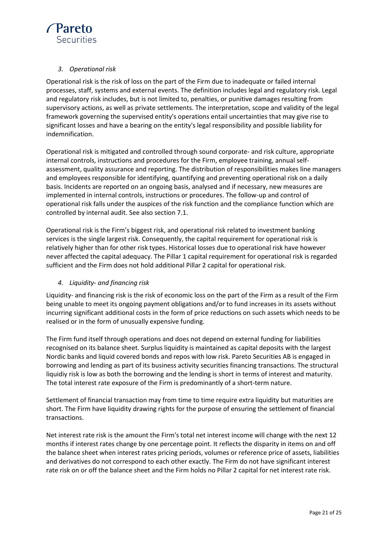

#### *3. Operational risk*

Operational risk is the risk of loss on the part of the Firm due to inadequate or failed internal processes, staff, systems and external events. The definition includes legal and regulatory risk. Legal and regulatory risk includes, but is not limited to, penalties, or punitive damages resulting from supervisory actions, as well as private settlements. The interpretation, scope and validity of the legal framework governing the supervised entity's operations entail uncertainties that may give rise to significant losses and have a bearing on the entity's legal responsibility and possible liability for indemnification.

Operational risk is mitigated and controlled through sound corporate- and risk culture, appropriate internal controls, instructions and procedures for the Firm, employee training, annual selfassessment, quality assurance and reporting. The distribution of responsibilities makes line managers and employees responsible for identifying, quantifying and preventing operational risk on a daily basis. Incidents are reported on an ongoing basis, analysed and if necessary, new measures are implemented in internal controls, instructions or procedures. The follow-up and control of operational risk falls under the auspices of the risk function and the compliance function which are controlled by internal audit. See also section 7.1.

Operational risk is the Firm's biggest risk, and operational risk related to investment banking services is the single largest risk. Consequently, the capital requirement for operational risk is relatively higher than for other risk types. Historical losses due to operational risk have however never affected the capital adequacy. The Pillar 1 capital requirement for operational risk is regarded sufficient and the Firm does not hold additional Pillar 2 capital for operational risk.

#### *4. Liquidity- and financing risk*

Liquidity- and financing risk is the risk of economic loss on the part of the Firm as a result of the Firm being unable to meet its ongoing payment obligations and/or to fund increases in its assets without incurring significant additional costs in the form of price reductions on such assets which needs to be realised or in the form of unusually expensive funding.

The Firm fund itself through operations and does not depend on external funding for liabilities recognised on its balance sheet. Surplus liquidity is maintained as capital deposits with the largest Nordic banks and liquid covered bonds and repos with low risk. Pareto Securities AB is engaged in borrowing and lending as part of its business activity securities financing transactions. The structural liquidiy risk is low as both the borrowing and the lending is short in terms of interest and maturity. The total interest rate exposure of the Firm is predominantly of a short-term nature.

Settlement of financial transaction may from time to time require extra liquidity but maturities are short. The Firm have liquidity drawing rights for the purpose of ensuring the settlement of financial transactions.

Net interest rate risk is the amount the Firm's total net interest income will change with the next 12 months if interest rates change by one percentage point. It reflects the disparity in items on and off the balance sheet when interest rates pricing periods, volumes or reference price of assets, liabilities and derivatives do not correspond to each other exactly. The Firm do not have significant interest rate risk on or off the balance sheet and the Firm holds no Pillar 2 capital for net interest rate risk.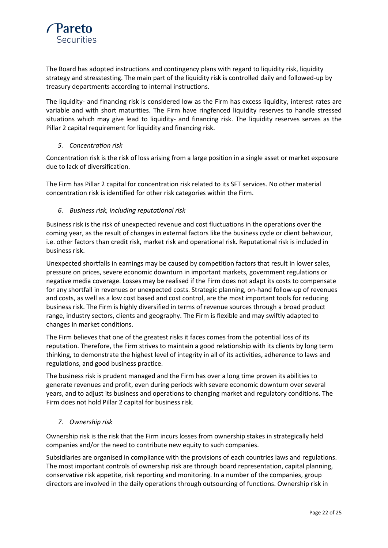

The Board has adopted instructions and contingency plans with regard to liquidity risk, liquidity strategy and stresstesting. The main part of the liquidity risk is controlled daily and followed-up by treasury departments according to internal instructions.

The liquidity- and financing risk is considered low as the Firm has excess liquidity, interest rates are variable and with short maturities. The Firm have ringfenced liquidity reserves to handle stressed situations which may give lead to liquidity- and financing risk. The liquidity reserves serves as the Pillar 2 capital requirement for liquidity and financing risk.

#### *5. Concentration risk*

Concentration risk is the risk of loss arising from a large position in a single asset or market exposure due to lack of diversification.

The Firm has Pillar 2 capital for concentration risk related to its SFT services. No other material concentration risk is identified for other risk categories within the Firm.

#### *6. Business risk, including reputational risk*

Business risk is the risk of unexpected revenue and cost fluctuations in the operations over the coming year, as the result of changes in external factors like the business cycle or client behaviour, i.e. other factors than credit risk, market risk and operational risk. Reputational risk is included in business risk.

Unexpected shortfalls in earnings may be caused by competition factors that result in lower sales, pressure on prices, severe economic downturn in important markets, government regulations or negative media coverage. Losses may be realised if the Firm does not adapt its costs to compensate for any shortfall in revenues or unexpected costs. Strategic planning, on-hand follow-up of revenues and costs, as well as a low cost based and cost control, are the most important tools for reducing business risk. The Firm is highly diversified in terms of revenue sources through a broad product range, industry sectors, clients and geography. The Firm is flexible and may swiftly adapted to changes in market conditions.

The Firm believes that one of the greatest risks it faces comes from the potential loss of its reputation. Therefore, the Firm strives to maintain a good relationship with its clients by long term thinking, to demonstrate the highest level of integrity in all of its activities, adherence to laws and regulations, and good business practice.

The business risk is prudent managed and the Firm has over a long time proven its abilities to generate revenues and profit, even during periods with severe economic downturn over several years, and to adjust its business and operations to changing market and regulatory conditions. The Firm does not hold Pillar 2 capital for business risk.

#### *7. Ownership risk*

Ownership risk is the risk that the Firm incurs losses from ownership stakes in strategically held companies and/or the need to contribute new equity to such companies.

Subsidiaries are organised in compliance with the provisions of each countries laws and regulations. The most important controls of ownership risk are through board representation, capital planning, conservative risk appetite, risk reporting and monitoring. In a number of the companies, group directors are involved in the daily operations through outsourcing of functions. Ownership risk in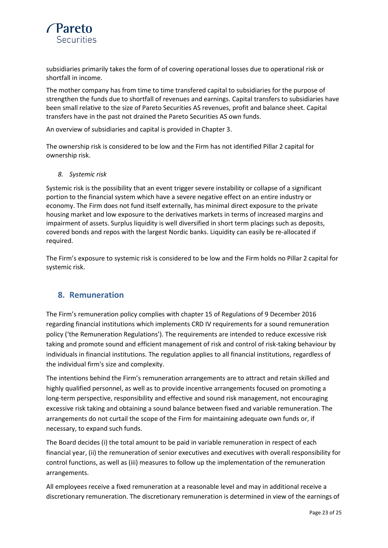

subsidiaries primarily takes the form of of covering operational losses due to operational risk or shortfall in income.

The mother company has from time to time transfered capital to subsidiaries for the purpose of strengthen the funds due to shortfall of revenues and earnings. Capital transfers to subsidiaries have been small relative to the size of Pareto Securities AS revenues, profit and balance sheet. Capital transfers have in the past not drained the Pareto Securities AS own funds.

An overview of subsidiaries and capital is provided in Chapter 3.

The ownership risk is considered to be low and the Firm has not identified Pillar 2 capital for ownership risk.

*8. Systemic risk*

Systemic risk is the possibility that an event trigger severe instability or collapse of a significant portion to the financial system which have a severe negative effect on an entire industry or economy. The Firm does not fund itself externally, has minimal direct exposure to the private housing market and low exposure to the derivatives markets in terms of increased margins and impairment of assets. Surplus liquidity is well diversified in short term placings such as deposits, covered bonds and repos with the largest Nordic banks. Liquidity can easily be re-allocated if required.

The Firm's exposure to systemic risk is considered to be low and the Firm holds no Pillar 2 capital for systemic risk.

# <span id="page-22-0"></span>**8. Remuneration**

The Firm's remuneration policy complies with chapter 15 of Regulations of 9 December 2016 regarding financial institutions which implements CRD IV requirements for a sound remuneration policy ('the Remuneration Regulations'). The requirements are intended to reduce excessive risk taking and promote sound and efficient management of risk and control of risk-taking behaviour by individuals in financial institutions. The regulation applies to all financial institutions, regardless of the individual firm's size and complexity.

The intentions behind the Firm's remuneration arrangements are to attract and retain skilled and highly qualified personnel, as well as to provide incentive arrangements focused on promoting a long-term perspective, responsibility and effective and sound risk management, not encouraging excessive risk taking and obtaining a sound balance between fixed and variable remuneration. The arrangements do not curtail the scope of the Firm for maintaining adequate own funds or, if necessary, to expand such funds.

The Board decides (i) the total amount to be paid in variable remuneration in respect of each financial year, (ii) the remuneration of senior executives and executives with overall responsibility for control functions, as well as (iii) measures to follow up the implementation of the remuneration arrangements.

All employees receive a fixed remuneration at a reasonable level and may in additional receive a discretionary remuneration. The discretionary remuneration is determined in view of the earnings of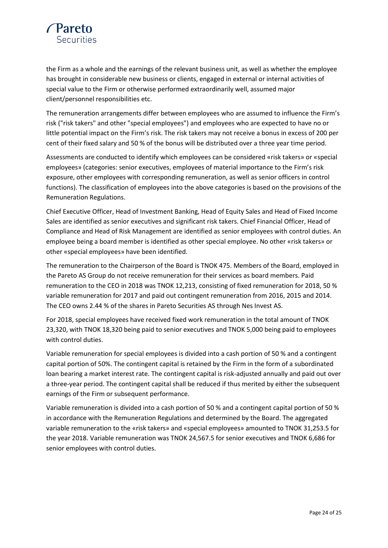

the Firm as a whole and the earnings of the relevant business unit, as well as whether the employee has brought in considerable new business or clients, engaged in external or internal activities of special value to the Firm or otherwise performed extraordinarily well, assumed major client/personnel responsibilities etc.

The remuneration arrangements differ between employees who are assumed to influence the Firm's risk ("risk takers" and other "special employees") and employees who are expected to have no or little potential impact on the Firm's risk. The risk takers may not receive a bonus in excess of 200 per cent of their fixed salary and 50 % of the bonus will be distributed over a three year time period.

Assessments are conducted to identify which employees can be considered «risk takers» or «special employees» (categories: senior executives, employees of material importance to the Firm's risk exposure, other employees with corresponding remuneration, as well as senior officers in control functions). The classification of employees into the above categories is based on the provisions of the Remuneration Regulations.

Chief Executive Officer, Head of Investment Banking, Head of Equity Sales and Head of Fixed Income Sales are identified as senior executives and significant risk takers. Chief Financial Officer, Head of Compliance and Head of Risk Management are identified as senior employees with control duties. An employee being a board member is identified as other special employee. No other «risk takers» or other «special employees» have been identified.

The remuneration to the Chairperson of the Board is TNOK 475. Members of the Board, employed in the Pareto AS Group do not receive remuneration for their services as board members. Paid remuneration to the CEO in 2018 was TNOK 12,213, consisting of fixed remuneration for 2018, 50 % variable remuneration for 2017 and paid out contingent remuneration from 2016, 2015 and 2014. The CEO owns 2.44 % of the shares in Pareto Securities AS through Nes Invest AS.

For 2018, special employees have received fixed work remuneration in the total amount of TNOK 23,320, with TNOK 18,320 being paid to senior executives and TNOK 5,000 being paid to employees with control duties.

Variable remuneration for special employees is divided into a cash portion of 50 % and a contingent capital portion of 50%. The contingent capital is retained by the Firm in the form of a subordinated loan bearing a market interest rate. The contingent capital is risk-adjusted annually and paid out over a three-year period. The contingent capital shall be reduced if thus merited by either the subsequent earnings of the Firm or subsequent performance.

Variable remuneration is divided into a cash portion of 50 % and a contingent capital portion of 50 % in accordance with the Remuneration Regulations and determined by the Board. The aggregated variable remuneration to the «risk takers» and «special employees» amounted to TNOK 31,253.5 for the year 2018. Variable remuneration was TNOK 24,567.5 for senior executives and TNOK 6,686 for senior employees with control duties.